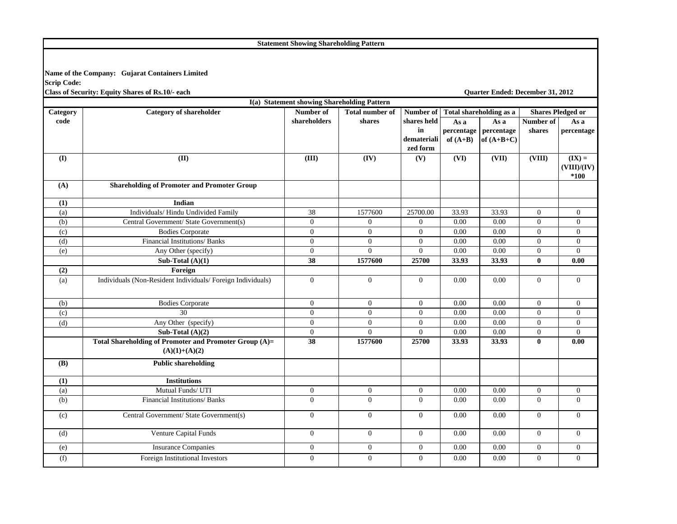**Statement Showing Shareholding Pattern**

## **Name of the Company: Gujarat Containers Limited Scrip Code:**

**Class of Security: Equity Shares of Rs.10/- each Quarter Ended: December 31, 2012**

|          |                                                            | I(a) Statement showing Shareholding Pattern |                            |                |                           |                         |                          |                                  |
|----------|------------------------------------------------------------|---------------------------------------------|----------------------------|----------------|---------------------------|-------------------------|--------------------------|----------------------------------|
| Category | <b>Category of shareholder</b>                             | Number of                                   | <b>Total number of</b>     | Number of      |                           | Total shareholding as a | <b>Shares Pledged or</b> |                                  |
| code     |                                                            | shareholders                                | shares                     | shares held    | As a                      | As a                    | Number of                | As a                             |
|          |                                                            |                                             |                            | $\mathbf{in}$  | percentage                | percentage              | shares                   | percentage                       |
|          |                                                            |                                             |                            | demateriali    | of $(A+B)$                | of $(A+B+C)$            |                          |                                  |
|          |                                                            |                                             |                            | zed form       |                           |                         |                          |                                  |
| (I)      | (II)                                                       | (III)                                       | $\overline{(\mathbf{IV})}$ | (V)            | $\overline{\text{}}$ (VI) | $\overline{\text{VII}}$ | (VIII)                   | $(\mathbf{IX}) =$<br>(VIII)/(IV) |
|          |                                                            |                                             |                            |                |                           |                         |                          | $*100$                           |
| (A)      | <b>Shareholding of Promoter and Promoter Group</b>         |                                             |                            |                |                           |                         |                          |                                  |
| (1)      | Indian                                                     |                                             |                            |                |                           |                         |                          |                                  |
| (a)      | Individuals/ Hindu Undivided Family                        | 38                                          | 1577600                    | 25700.00       | 33.93                     | 33.93                   | $\mathbf{0}$             | $\mathbf{0}$                     |
| (b)      | Central Government/ State Government(s)                    | $\mathbf{0}$                                | $\mathbf{0}$               | $\overline{0}$ | 0.00                      | 0.00                    | $\mathbf{0}$             | $\overline{0}$                   |
| (c)      | <b>Bodies Corporate</b>                                    | $\mathbf{0}$                                | $\overline{0}$             | $\mathbf{0}$   | 0.00                      | 0.00                    | $\mathbf{0}$             | $\mathbf{0}$                     |
| (d)      | Financial Institutions/ Banks                              | $\overline{0}$                              | $\overline{0}$             | $\Omega$       | 0.00                      | 0.00                    | $\mathbf{0}$             | $\overline{0}$                   |
| (e)      | Any Other (specify)                                        | $\overline{0}$                              | $\theta$                   | $\overline{0}$ | 0.00                      | 0.00                    | $\mathbf{0}$             | $\overline{0}$                   |
|          | Sub-Total $(A)(1)$                                         | 38                                          | 1577600                    | 25700          | 33.93                     | 33.93                   | $\bf{0}$                 | 0.00                             |
| (2)      | Foreign                                                    |                                             |                            |                |                           |                         |                          |                                  |
| (a)      | Individuals (Non-Resident Individuals/Foreign Individuals) | $\overline{0}$                              | $\overline{0}$             | $\overline{0}$ | 0.00                      | 0.00                    | $\mathbf{0}$             | $\overline{0}$                   |
|          |                                                            |                                             |                            |                |                           |                         |                          |                                  |
| (b)      | <b>Bodies Corporate</b>                                    | $\mathbf{0}$                                | $\overline{0}$             | $\overline{0}$ | 0.00                      | 0.00                    | $\mathbf{0}$             | $\overline{0}$                   |
| (c)      | 30                                                         | $\mathbf{0}$                                | $\boldsymbol{0}$           | $\mathbf{0}$   | 0.00                      | 0.00                    | $\mathbf{0}$             | $\boldsymbol{0}$                 |
| (d)      | Any Other (specify)                                        | $\mathbf{0}$                                | $\overline{0}$             | $\theta$       | 0.00                      | 0.00                    | $\mathbf{0}$             | $\mathbf{0}$                     |
|          | Sub-Total $(A)(2)$                                         | $\mathbf{0}$                                | $\Omega$                   | $\overline{0}$ | 0.00                      | 0.00                    | $\mathbf{0}$             | $\overline{0}$                   |
|          | Total Shareholding of Promoter and Promoter Group (A)=     | $\overline{38}$                             | 1577600                    | 25700          | 33.93                     | 33.93                   | $\bf{0}$                 | 0.00                             |
|          | $(A)(1)+(A)(2)$                                            |                                             |                            |                |                           |                         |                          |                                  |
| (B)      | <b>Public shareholding</b>                                 |                                             |                            |                |                           |                         |                          |                                  |
| (1)      | <b>Institutions</b>                                        |                                             |                            |                |                           |                         |                          |                                  |
| (a)      | Mutual Funds/ UTI                                          | $\overline{0}$                              | $\overline{0}$             | $\overline{0}$ | 0.00                      | 0.00                    | $\mathbf{0}$             | $\mathbf{0}$                     |
| (b)      | Financial Institutions/ Banks                              | $\overline{0}$                              | $\mathbf{0}$               | $\overline{0}$ | 0.00                      | 0.00                    | $\mathbf{0}$             | $\mathbf{0}$                     |
| (c)      | Central Government/ State Government(s)                    | $\mathbf{0}$                                | $\mathbf{0}$               | $\overline{0}$ | 0.00                      | 0.00                    | $\mathbf{0}$             | $\mathbf{0}$                     |
| (d)      | Venture Capital Funds                                      | $\mathbf{0}$                                | $\mathbf{0}$               | $\overline{0}$ | 0.00                      | 0.00                    | $\mathbf{0}$             | $\overline{0}$                   |
| (e)      | <b>Insurance Companies</b>                                 | $\mathbf{0}$                                | $\mathbf{0}$               | $\mathbf{0}$   | 0.00                      | 0.00                    | $\mathbf{0}$             | $\mathbf{0}$                     |
| (f)      | Foreign Institutional Investors                            | $\theta$                                    | $\overline{0}$             | $\theta$       | 0.00                      | 0.00                    | $\mathbf{0}$             | $\Omega$                         |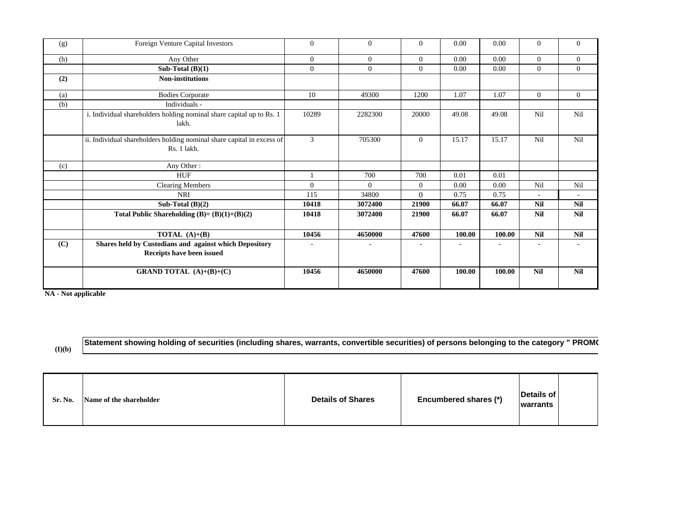| (g) | Foreign Venture Capital Investors                                                     | $\mathbf{0}$ | $\overline{0}$ | $\overline{0}$ | 0.00   | 0.00   | 0              | $\mathbf{0}$ |
|-----|---------------------------------------------------------------------------------------|--------------|----------------|----------------|--------|--------|----------------|--------------|
| (h) | Any Other                                                                             | $\mathbf{0}$ | $\mathbf{0}$   | $\overline{0}$ | 0.00   | 0.00   | $\overline{0}$ | $\mathbf{0}$ |
|     | Sub-Total $(B)(1)$                                                                    | $\mathbf{0}$ | $\overline{0}$ | $\Omega$       | 0.00   | 0.00   | $\Omega$       | $\mathbf{0}$ |
| (2) | <b>Non-institutions</b>                                                               |              |                |                |        |        |                |              |
| (a) | <b>Bodies Corporate</b>                                                               | 10           | 49300          | 1200           | 1.07   | 1.07   | $\overline{0}$ | $\mathbf{0}$ |
| (b) | Individuals -                                                                         |              |                |                |        |        |                |              |
|     | i. Individual shareholders holding nominal share capital up to Rs. 1<br>lakh.         | 10289        | 2282300        | 20000          | 49.08  | 49.08  | Nil            | Nil          |
|     | ii. Individual shareholders holding nominal share capital in excess of<br>Rs. 1 lakh. | 3            | 705300         | $\Omega$       | 15.17  | 15.17  | Nil            | Nil          |
| (c) | Any Other:                                                                            |              |                |                |        |        |                |              |
|     | <b>HUF</b>                                                                            |              | 700            | 700            | 0.01   | 0.01   |                |              |
|     | Clearing Members                                                                      | $\Omega$     | $\theta$       | $\Omega$       | 0.00   | 0.00   | Nil            | Nil          |
|     | <b>NRI</b>                                                                            | 115          | 34800          | $\Omega$       | 0.75   | 0.75   | $\sim$         | $\sim$       |
|     | Sub-Total $(B)(2)$                                                                    | 10418        | 3072400        | 21900          | 66.07  | 66.07  | <b>Nil</b>     | <b>Nil</b>   |
|     | Total Public Shareholding $(B)=(B)(1)+(B)(2)$                                         | 10418        | 3072400        | 21900          | 66.07  | 66.07  | Nil            | <b>Nil</b>   |
|     | <b>TOTAL</b> $(A)+(B)$                                                                | 10456        | 4650000        | 47600          | 100.00 | 100.00 | <b>Nil</b>     | <b>Nil</b>   |
| (C) | Shares held by Custodians and against which Depository<br>Receipts have been issued   |              |                |                |        |        |                |              |
|     | <b>GRAND TOTAL</b> $(A)+(B)+(C)$                                                      | 10456        | 4650000        | 47600          | 100.00 | 100.00 | <b>Nil</b>     | <b>Nil</b>   |

**NA - Not applicable**

**(I)(b)**

**Statement showing holding of securities (including shares, warrants, convertible securities) of persons belonging to the category " PROM O**

| Details of<br>Encumbered shares (*)<br><b>Details of Shares</b><br>Name of the shareholder<br>Sr. No.<br><b>warrants</b> |  |  |  |  |  |
|--------------------------------------------------------------------------------------------------------------------------|--|--|--|--|--|
|--------------------------------------------------------------------------------------------------------------------------|--|--|--|--|--|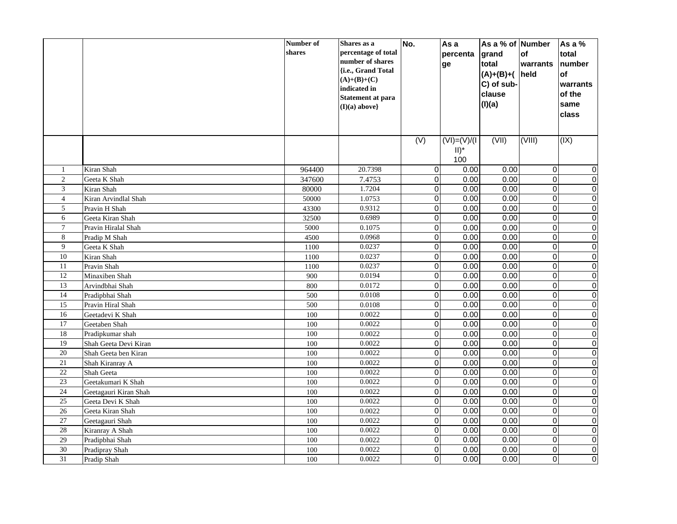|                                    |                       | Number of<br>shares | Shares as a<br>percentage of total   | No.              | As a<br>percenta | As a % of Number<br>grand | of                      | As a %<br>total             |
|------------------------------------|-----------------------|---------------------|--------------------------------------|------------------|------------------|---------------------------|-------------------------|-----------------------------|
|                                    |                       |                     | number of shares                     |                  | ge               | total                     | warrants                | number                      |
|                                    |                       |                     | {i.e., Grand Total                   |                  |                  | $(A)+(B)+(A)$             | held                    | of                          |
|                                    |                       |                     | $(A)+(B)+(C)$                        |                  |                  | C) of sub-                |                         | warrants                    |
|                                    |                       |                     | indicated in                         |                  |                  | clause                    |                         | of the                      |
|                                    |                       |                     | Statement at para<br>$(I)(a)$ above} |                  |                  | (I)(a)                    |                         | same                        |
|                                    |                       |                     |                                      |                  |                  |                           |                         | class                       |
|                                    |                       |                     |                                      |                  |                  |                           |                         |                             |
|                                    |                       |                     |                                      | $\overline{(V)}$ | $(VI) = (V)/(I)$ | (VII)                     | (VIII)                  | (X)                         |
|                                    |                       |                     |                                      |                  | $II)^*$          |                           |                         |                             |
|                                    |                       |                     |                                      |                  | 100              |                           |                         |                             |
| $\mathbf{1}$                       | Kiran Shah            | 964400              | 20.7398                              | $\pmb{0}$        | 0.00             | 0.00                      | $\mathbf 0$             | $\pmb{0}$                   |
| $\overline{2}$                     | Geeta K Shah          | 347600              | 7.4753                               | $\mathbf 0$      | 0.00             | 0.00                      | $\overline{0}$          | $\overline{0}$              |
| 3                                  | Kiran Shah            | 80000               | 1.7204                               | $\mathbf 0$      | 0.00             | 0.00                      | $\Omega$                | $\overline{0}$              |
| $\overline{4}$                     | Kiran Arvindlal Shah  | 50000               | 1.0753                               | $\mathbf 0$      | 0.00             | 0.00                      | $\mathbf 0$             | $\overline{0}$              |
| 5                                  | Pravin H Shah         | 43300               | 0.9312                               | 0                | 0.00             | 0.00                      | $\Omega$                | $\overline{0}$              |
| 6                                  | Geeta Kiran Shah      | 32500               | 0.6989                               | $\overline{0}$   | 0.00             | 0.00                      | $\overline{0}$          | $\overline{0}$              |
| $\overline{7}$                     | Pravin Hiralal Shah   | 5000                | 0.1075                               | $\mathbf 0$      | 0.00             | 0.00                      | $\Omega$                | $\overline{0}$              |
| 8                                  | Pradip M Shah         | 4500                | 0.0968                               | $\overline{0}$   | 0.00             | 0.00                      | O                       | $\overline{0}$              |
| 9                                  | Geeta K Shah          | 1100                | 0.0237                               | $\overline{0}$   | 0.00             | 0.00                      | $\overline{0}$          | $\overline{0}$              |
| 10                                 | Kiran Shah            | 1100                | 0.0237                               | 0                | 0.00             | 0.00                      | $\Omega$                | $\overline{0}$              |
| $\overline{11}$                    | Pravin Shah           | 1100                | 0.0237                               | $\overline{0}$   | 0.00             | 0.00                      | O                       | $\overline{0}$              |
| 12                                 | Minaxiben Shah        | 900                 | 0.0194                               | 0                | 0.00             | 0.00                      | $\mathbf 0$             | $\pmb{0}$                   |
| 13                                 | Arvindbhai Shah       | 800                 | 0.0172                               | 0                | 0.00             | 0.00                      | $\overline{O}$          | $\pmb{0}$                   |
| 14                                 | Pradipbhai Shah       | 500                 | 0.0108                               | 0                | 0.00             | 0.00                      | $\mathbf 0$             | $\mathbf 0$                 |
| 15                                 | Pravin Hiral Shah     | 500                 | 0.0108                               | $\mathbf 0$      | 0.00             | 0.00                      | $\mathbf 0$             | $\overline{0}$              |
| 16                                 | Geetadevi K Shah      | 100                 | 0.0022                               | 0                | 0.00             | 0.00                      | $\mathbf 0$             | $\overline{0}$              |
| $\overline{17}$                    | Geetaben Shah         | 100                 | 0.0022                               | 0                | 0.00             | 0.00                      | $\mathbf 0$             | $\overline{0}$              |
| 18                                 | Pradipkumar shah      | 100                 | 0.0022                               | $\mathbf 0$      | 0.00             | 0.00                      | $\Omega$                | $\overline{0}$              |
| $\overline{19}$                    | Shah Geeta Devi Kiran | 100                 | 0.0022                               | $\overline{0}$   | 0.00             | 0.00                      | $\Omega$                | $\overline{0}$              |
| 20                                 | Shah Geeta ben Kiran  | 100                 | 0.0022                               | 0                | 0.00             | 0.00                      | $\overline{O}$          | $\pmb{0}$                   |
| $\overline{21}$<br>$\overline{22}$ | Shah Kiranray A       | 100                 | 0.0022                               | 0                | 0.00<br>0.00     | 0.00<br>0.00              | $\mathbf 0$<br>$\Omega$ | $\overline{0}$              |
|                                    | Shah Geeta            | 100                 | 0.0022                               | $\pmb{0}$        |                  |                           | $\Omega$                | $\pmb{0}$<br>$\overline{0}$ |
| 23<br>$\overline{24}$              | Geetakumari K Shah    | 100                 | 0.0022                               | $\mathbf 0$      | 0.00<br>0.00     | 0.00<br>0.00              |                         | $\overline{0}$              |
|                                    | Geetagauri Kiran Shah | 100                 | 0.0022                               | 0                |                  |                           | $\mathbf 0$             |                             |
| 25                                 | Geeta Devi K Shah     | 100                 | 0.0022                               | $\mathbf 0$      | 0.00             | 0.00                      | $\mathbf 0$             | $\mathbf 0$                 |
| 26<br>$\overline{27}$              | Geeta Kiran Shah      | 100                 | 0.0022                               | 0                | 0.00             | 0.00                      | $\Omega$                | $\mathbf 0$                 |
| 28                                 | Geetagauri Shah       | 100                 | 0.0022<br>0.0022                     | $\mathbf 0$      | 0.00             | 0.00                      | $\overline{0}$          | $\overline{0}$              |
|                                    | Kiranray A Shah       | 100                 |                                      | $\mathbf 0$      | 0.00             | 0.00                      | $\overline{0}$          | $\overline{0}$              |
| 29                                 | Pradipbhai Shah       | 100                 | 0.0022                               | 0                | 0.00             | 0.00                      | $\Omega$                | $\pmb{0}$                   |
| $\overline{30}$                    | Pradipray Shah        | 100                 | 0.0022                               | 0                | 0.00             | 0.00                      | $\Omega$                | $\overline{0}$              |
| 31                                 | Pradip Shah           | 100                 | 0.0022                               | $\overline{0}$   | 0.00             | 0.00                      | $\Omega$                | $\overline{0}$              |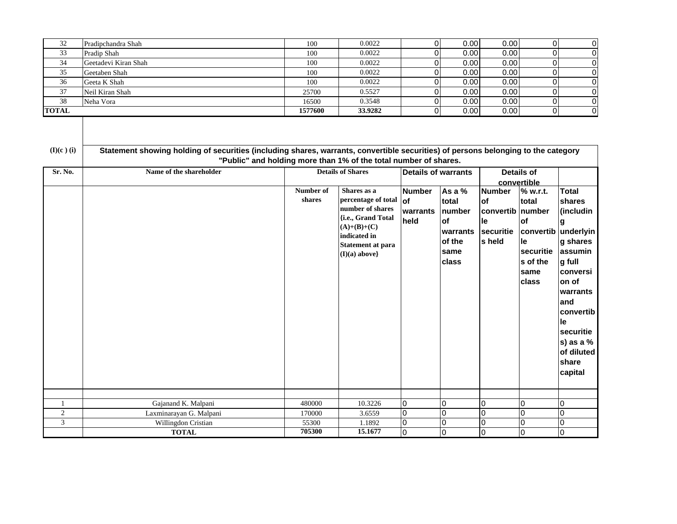| 32           | Pradipchandra Shah   | 100            | 0.0022  | 0.00 | 0.001 |                |
|--------------|----------------------|----------------|---------|------|-------|----------------|
| 33           | Pradip Shah          | 100            | 0.0022  | 0.00 | 0.00  | 0              |
| 34           | Geetadevi Kiran Shah | 100            | 0.0022  | 0.00 | 0.00  | 0              |
| 35           | Geetaben Shah        | 100            | 0.0022  | 0.00 | 0.00  | 0              |
| 36           | Geeta K Shah         | 100            | 0.0022  | 0.00 | 0.00  |                |
| 37           | Neil Kiran Shah      | 25700          | 0.5527  | 0.00 | 0.00  |                |
| 38           | Neha Vora            | 16500          | 0.3548  | 0.00 | 0.00  | 0              |
| <b>TOTAL</b> |                      | <b>1577600</b> | 33.9282 | 0.00 | 0.00  | $\overline{0}$ |

| $(I)(c)$ (i)     |                         | Statement showing holding of securities (including shares, warrants, convertible securities) of persons belonging to the category<br>"Public" and holding more than 1% of the total number of shares. |                                                                                                                                                                                        |                                                                 |                                                                                  |                                                                                            |                                                                                            |                                                                                                                       |
|------------------|-------------------------|-------------------------------------------------------------------------------------------------------------------------------------------------------------------------------------------------------|----------------------------------------------------------------------------------------------------------------------------------------------------------------------------------------|-----------------------------------------------------------------|----------------------------------------------------------------------------------|--------------------------------------------------------------------------------------------|--------------------------------------------------------------------------------------------|-----------------------------------------------------------------------------------------------------------------------|
| Sr. No.          | Name of the shareholder | Number of<br>shares                                                                                                                                                                                   | <b>Details of Shares</b><br>Shares as a<br>percentage of total $of$<br>number of shares<br>{i.e., Grand Total<br>$(A)+(B)+(C)$<br>indicated in<br>Statement at para<br>$(I)(a)$ above} | <b>Details of warrants</b><br><b>Number</b><br>warrants<br>held | As a $%$<br>total<br>number<br>lof<br><b>warrants</b><br>of the<br>same<br>class | convertible<br><b>Number</b><br><b>of</b><br>convertib number<br>le<br>securitie<br>s held | <b>Details of</b><br>% w.r.t.<br>total<br>lof<br>convertib<br>lle<br>securitie<br>s of the | <b>Total</b><br>shares<br>(includin<br>g<br>underlyin<br>g shares<br>assumin<br>g full                                |
|                  |                         |                                                                                                                                                                                                       |                                                                                                                                                                                        |                                                                 |                                                                                  |                                                                                            | same<br>class                                                                              | conversi<br>on of<br>warrants<br>and<br>convertib<br>le<br>securitie<br>s) as a $%$<br>of diluted<br>share<br>capital |
|                  | Gajanand K. Malpani     | 480000                                                                                                                                                                                                | 10.3226                                                                                                                                                                                | 0                                                               | $\Omega$                                                                         | 0                                                                                          | 10                                                                                         | $\overline{0}$                                                                                                        |
| $\boldsymbol{2}$ | Laxminarayan G. Malpani | 170000                                                                                                                                                                                                | 3.6559                                                                                                                                                                                 | $\overline{0}$                                                  | <sup>o</sup>                                                                     | 0                                                                                          | l0                                                                                         | $\mathbf 0$                                                                                                           |
| 3                | Willingdon Cristian     | 55300                                                                                                                                                                                                 | 1.1892                                                                                                                                                                                 | $\overline{0}$                                                  | $\Omega$                                                                         | 0                                                                                          | 0                                                                                          | $\mathbf 0$                                                                                                           |
|                  | <b>TOTAL</b>            | 705300                                                                                                                                                                                                | 15.1677                                                                                                                                                                                | 0                                                               | $\Omega$                                                                         | 0                                                                                          | $\overline{0}$                                                                             | $\Omega$                                                                                                              |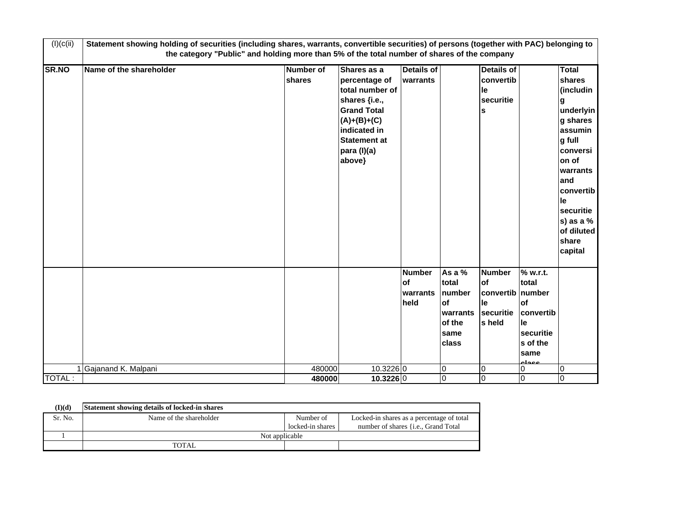| (I)(c(ii))    | Statement showing holding of securities (including shares, warrants, convertible securities) of persons (together with PAC) belonging to<br>the category "Public" and holding more than 5% of the total number of shares of the company |                            |                                                                                                                                                                         |                                         |                                                                                |                                                               |                                                                                                               |                                                                                                                                                                                                                   |
|---------------|-----------------------------------------------------------------------------------------------------------------------------------------------------------------------------------------------------------------------------------------|----------------------------|-------------------------------------------------------------------------------------------------------------------------------------------------------------------------|-----------------------------------------|--------------------------------------------------------------------------------|---------------------------------------------------------------|---------------------------------------------------------------------------------------------------------------|-------------------------------------------------------------------------------------------------------------------------------------------------------------------------------------------------------------------|
| <b>SR.NO</b>  | Name of the shareholder                                                                                                                                                                                                                 | <b>Number of</b><br>shares | Shares as a<br>percentage of<br>total number of<br>shares {i.e.,<br><b>Grand Total</b><br>$(A)+(B)+(C)$<br>indicated in<br><b>Statement at</b><br>para (I)(a)<br>above} | <b>Details of</b><br>warrants           |                                                                                | <b>Details of</b><br>convertib<br>le<br>securitie<br>S        |                                                                                                               | <b>Total</b><br>shares<br>(includin<br>g<br>underlyin<br>g shares<br>assumin<br>g full<br>conversi<br>on of<br>warrants<br>and<br>convertib<br>le<br>securitie<br>$s)$ as a $%$<br>of diluted<br>share<br>capital |
|               |                                                                                                                                                                                                                                         |                            |                                                                                                                                                                         | <b>Number</b><br>of<br>warrants<br>held | As a %<br>total<br>number<br><b>of</b><br>lwarrants<br>of the<br>same<br>class | <b>Number</b><br>of<br>convertib<br>le<br>securitie<br>s held | $\overline{\%}$ w.r.t.<br>total<br>number<br>lof<br>convertib<br>le<br>securitie<br>s of the<br>same<br>ععماء |                                                                                                                                                                                                                   |
|               | Gajanand K. Malpani                                                                                                                                                                                                                     | 480000                     | 10.3226 0                                                                                                                                                               |                                         | $\bf{0}$                                                                       | 0                                                             | $\Omega$                                                                                                      | 0                                                                                                                                                                                                                 |
| <b>TOTAL:</b> |                                                                                                                                                                                                                                         | 480000                     | 10.3226 0                                                                                                                                                               |                                         | 0                                                                              | 0                                                             | 0                                                                                                             | $\overline{0}$                                                                                                                                                                                                    |

| (I)(d)  | Statement showing details of locked-in shares |                  |                                              |
|---------|-----------------------------------------------|------------------|----------------------------------------------|
| Sr. No. | Name of the shareholder                       | Number of        | Locked-in shares as a percentage of total    |
|         |                                               | locked-in shares | number of shares { <i>i.e.</i> , Grand Total |
|         | Not applicable                                |                  |                                              |
|         | <b>TOTAL</b>                                  |                  |                                              |